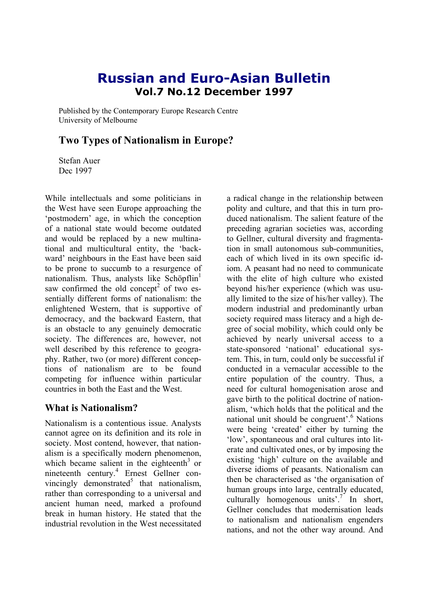# **Russian and Euro-Asian Bulletin Vol.7 No.12 December 1997**

Published by the Contemporary Europe Research Centre University of Melbourne

## **Two Types of Nationalism in Europe?**

Stefan Auer Dec 1997

While intellectuals and some politicians in the West have seen Europe approaching the 'postmodern' age, in which the conception of a national state would become outdated and would be replaced by a new multinational and multicultural entity, the 'backward' neighbours in the East have been said to be prone to succumb to a resurgence of nationalism. Thus, analysts like Schöpflin $<sup>1</sup>$ </sup> saw confirmed the old concept<sup>2</sup> of two essentially different forms of nationalism: the enlightened Western, that is supportive of democracy, and the backward Eastern, that is an obstacle to any genuinely democratic society. The differences are, however, not well described by this reference to geography. Rather, two (or more) different conceptions of nationalism are to be found competing for influence within particular countries in both the East and the West.

#### **What is Nationalism?**

Nationalism is a contentious issue. Analysts cannot agree on its definition and its role in society. Most contend, however, that nationalism is a specifically modern phenomenon, which became salient in the eighteenth<sup>3</sup> or nineteenth century.4 Ernest Gellner convincingly demonstrated<sup>5</sup> that nationalism, rather than corresponding to a universal and ancient human need, marked a profound break in human history. He stated that the industrial revolution in the West necessitated

a radical change in the relationship between polity and culture, and that this in turn produced nationalism. The salient feature of the preceding agrarian societies was, according to Gellner, cultural diversity and fragmentation in small autonomous sub-communities, each of which lived in its own specific idiom. A peasant had no need to communicate with the elite of high culture who existed beyond his/her experience (which was usually limited to the size of his/her valley). The modern industrial and predominantly urban society required mass literacy and a high degree of social mobility, which could only be achieved by nearly universal access to a state-sponsored 'national' educational system. This, in turn, could only be successful if conducted in a vernacular accessible to the entire population of the country. Thus, a need for cultural homogenisation arose and gave birth to the political doctrine of nationalism, 'which holds that the political and the national unit should be congruent'.<sup>6</sup> Nations were being 'created' either by turning the 'low', spontaneous and oral cultures into literate and cultivated ones, or by imposing the existing 'high' culture on the available and diverse idioms of peasants. Nationalism can then be characterised as 'the organisation of human groups into large, centrally educated, culturally homogenous units'.<sup>7</sup> In short, Gellner concludes that modernisation leads to nationalism and nationalism engenders nations, and not the other way around. And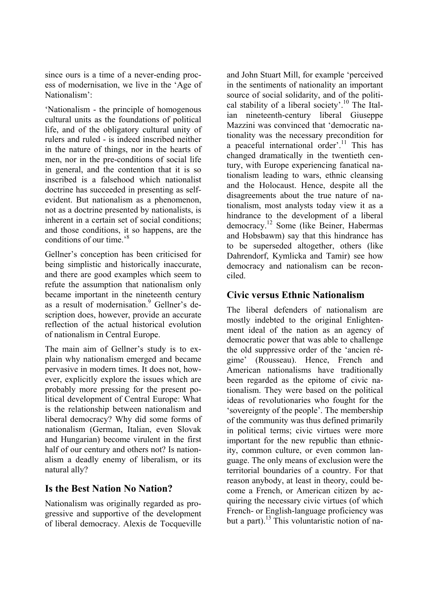since ours is a time of a never-ending process of modernisation, we live in the 'Age of Nationalism':

'Nationalism - the principle of homogenous cultural units as the foundations of political life, and of the obligatory cultural unity of rulers and ruled - is indeed inscribed neither in the nature of things, nor in the hearts of men, nor in the pre-conditions of social life in general, and the contention that it is so inscribed is a falsehood which nationalist doctrine has succeeded in presenting as selfevident. But nationalism as a phenomenon, not as a doctrine presented by nationalists, is inherent in a certain set of social conditions; and those conditions, it so happens, are the conditions of our time.'<sup>8</sup>

Gellner's conception has been criticised for being simplistic and historically inaccurate, and there are good examples which seem to refute the assumption that nationalism only became important in the nineteenth century as a result of modernisation.<sup>9</sup> Gellner's description does, however, provide an accurate reflection of the actual historical evolution of nationalism in Central Europe.

The main aim of Gellner's study is to explain why nationalism emerged and became pervasive in modern times. It does not, however, explicitly explore the issues which are probably more pressing for the present political development of Central Europe: What is the relationship between nationalism and liberal democracy? Why did some forms of nationalism (German, Italian, even Slovak and Hungarian) become virulent in the first half of our century and others not? Is nationalism a deadly enemy of liberalism, or its natural ally?

#### **Is the Best Nation No Nation?**

Nationalism was originally regarded as progressive and supportive of the development of liberal democracy. Alexis de Tocqueville and John Stuart Mill, for example 'perceived in the sentiments of nationality an important source of social solidarity, and of the political stability of a liberal society'.<sup>10</sup> The Italian nineteenth-century liberal Giuseppe Mazzini was convinced that 'democratic nationality was the necessary precondition for a peaceful international order'.<sup>11</sup> This has changed dramatically in the twentieth century, with Europe experiencing fanatical nationalism leading to wars, ethnic cleansing and the Holocaust. Hence, despite all the disagreements about the true nature of nationalism, most analysts today view it as a hindrance to the development of a liberal democracy.12 Some (like Beiner, Habermas and Hobsbawm) say that this hindrance has to be superseded altogether, others (like Dahrendorf, Kymlicka and Tamir) see how democracy and nationalism can be reconciled.

### **Civic versus Ethnic Nationalism**

The liberal defenders of nationalism are mostly indebted to the original Enlightenment ideal of the nation as an agency of democratic power that was able to challenge the old suppressive order of the 'ancien régime' (Rousseau). Hence, French and American nationalisms have traditionally been regarded as the epitome of civic nationalism. They were based on the political ideas of revolutionaries who fought for the 'sovereignty of the people'. The membership of the community was thus defined primarily in political terms; civic virtues were more important for the new republic than ethnicity, common culture, or even common language. The only means of exclusion were the territorial boundaries of a country. For that reason anybody, at least in theory, could become a French, or American citizen by acquiring the necessary civic virtues (of which French- or English-language proficiency was but a part).<sup>13</sup> This voluntaristic notion of na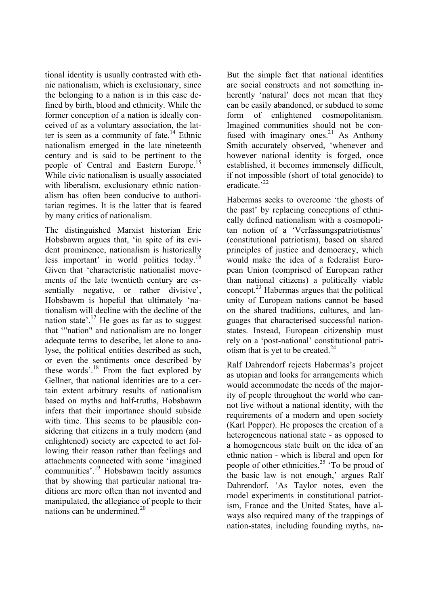tional identity is usually contrasted with ethnic nationalism, which is exclusionary, since the belonging to a nation is in this case defined by birth, blood and ethnicity. While the former conception of a nation is ideally conceived of as a voluntary association, the latter is seen as a community of fate.<sup>14</sup> Ethnic nationalism emerged in the late nineteenth century and is said to be pertinent to the people of Central and Eastern Europe.15 While civic nationalism is usually associated with liberalism, exclusionary ethnic nationalism has often been conducive to authoritarian regimes. It is the latter that is feared by many critics of nationalism.

The distinguished Marxist historian Eric Hobsbawm argues that, 'in spite of its evident prominence, nationalism is historically less important' in world politics today.16 Given that 'characteristic nationalist movements of the late twentieth century are essentially negative, or rather divisive', Hobsbawm is hopeful that ultimately 'nationalism will decline with the decline of the nation state'.<sup>17</sup> He goes as far as to suggest that '"nation" and nationalism are no longer adequate terms to describe, let alone to analyse, the political entities described as such, or even the sentiments once described by these words'.<sup>18</sup> From the fact explored by Gellner, that national identities are to a certain extent arbitrary results of nationalism based on myths and half-truths, Hobsbawm infers that their importance should subside with time. This seems to be plausible considering that citizens in a truly modern (and enlightened) society are expected to act following their reason rather than feelings and attachments connected with some 'imagined communities'.19 Hobsbawm tacitly assumes that by showing that particular national traditions are more often than not invented and manipulated, the allegiance of people to their nations can be undermined.<sup>20</sup>

But the simple fact that national identities are social constructs and not something inherently 'natural' does not mean that they can be easily abandoned, or subdued to some form of enlightened cosmopolitanism. Imagined communities should not be confused with imaginary ones.<sup>21</sup> As Anthony Smith accurately observed, 'whenever and however national identity is forged, once established, it becomes immensely difficult, if not impossible (short of total genocide) to eradicate<sup>32</sup>

Habermas seeks to overcome 'the ghosts of the past' by replacing conceptions of ethnically defined nationalism with a cosmopolitan notion of a 'Verfassungspatriotismus' (constitutional patriotism), based on shared principles of justice and democracy, which would make the idea of a federalist European Union (comprised of European rather than national citizens) a politically viable concept.23 Habermas argues that the political unity of European nations cannot be based on the shared traditions, cultures, and languages that characterised successful nationstates. Instead, European citizenship must rely on a 'post-national' constitutional patriotism that is yet to be created. $24$ 

Ralf Dahrendorf rejects Habermas's project as utopian and looks for arrangements which would accommodate the needs of the majority of people throughout the world who cannot live without a national identity, with the requirements of a modern and open society (Karl Popper). He proposes the creation of a heterogeneous national state - as opposed to a homogeneous state built on the idea of an ethnic nation - which is liberal and open for people of other ethnicities.<sup>25</sup>  $\cdot$ To be proud of the basic law is not enough,' argues Ralf Dahrendorf. 'As Taylor notes, even the model experiments in constitutional patriotism, France and the United States, have always also required many of the trappings of nation-states, including founding myths, na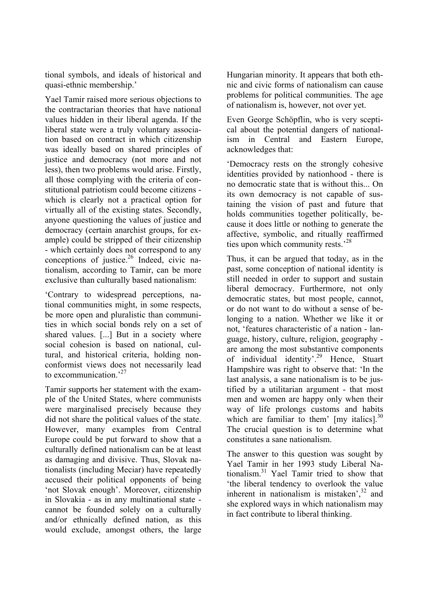tional symbols, and ideals of historical and quasi-ethnic membership.'

Yael Tamir raised more serious objections to the contractarian theories that have national values hidden in their liberal agenda. If the liberal state were a truly voluntary association based on contract in which citizenship was ideally based on shared principles of justice and democracy (not more and not less), then two problems would arise. Firstly, all those complying with the criteria of constitutional patriotism could become citizens which is clearly not a practical option for virtually all of the existing states. Secondly, anyone questioning the values of justice and democracy (certain anarchist groups, for example) could be stripped of their citizenship - which certainly does not correspond to any conceptions of justice.26 Indeed, civic nationalism, according to Tamir, can be more exclusive than culturally based nationalism:

'Contrary to widespread perceptions, national communities might, in some respects, be more open and pluralistic than communities in which social bonds rely on a set of shared values. [...] But in a society where social cohesion is based on national, cultural, and historical criteria, holding nonconformist views does not necessarily lead to excommunication<sup>27</sup>

Tamir supports her statement with the example of the United States, where communists were marginalised precisely because they did not share the political values of the state. However, many examples from Central Europe could be put forward to show that a culturally defined nationalism can be at least as damaging and divisive. Thus, Slovak nationalists (including Meciar) have repeatedly accused their political opponents of being 'not Slovak enough'. Moreover, citizenship in Slovakia - as in any multinational state cannot be founded solely on a culturally and/or ethnically defined nation, as this would exclude, amongst others, the large

Hungarian minority. It appears that both ethnic and civic forms of nationalism can cause problems for political communities. The age of nationalism is, however, not over yet.

Even George Schöpflin, who is very sceptical about the potential dangers of nationalism in Central and Eastern Europe, acknowledges that:

'Democracy rests on the strongly cohesive identities provided by nationhood - there is no democratic state that is without this... On its own democracy is not capable of sustaining the vision of past and future that holds communities together politically, because it does little or nothing to generate the affective, symbolic, and ritually reaffirmed ties upon which community rests.<sup>28</sup>

Thus, it can be argued that today, as in the past, some conception of national identity is still needed in order to support and sustain liberal democracy. Furthermore, not only democratic states, but most people, cannot, or do not want to do without a sense of belonging to a nation. Whether we like it or not, 'features characteristic of a nation - language, history, culture, religion, geography are among the most substantive components of individual identity'.29 Hence, Stuart Hampshire was right to observe that: 'In the last analysis, a sane nationalism is to be justified by a utilitarian argument - that most men and women are happy only when their way of life prolongs customs and habits which are familiar to them'  $[$ my italics $]$ .<sup>30</sup> The crucial question is to determine what constitutes a sane nationalism.

The answer to this question was sought by Yael Tamir in her 1993 study Liberal Nationalism.31 Yael Tamir tried to show that 'the liberal tendency to overlook the value inherent in nationalism is mistaken', $32$  and she explored ways in which nationalism may in fact contribute to liberal thinking.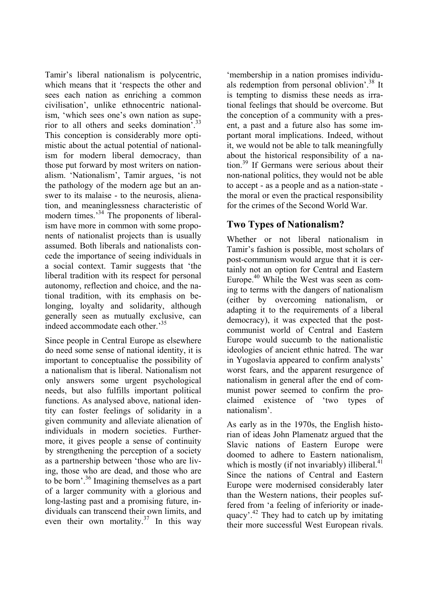Tamir's liberal nationalism is polycentric, which means that it 'respects the other and sees each nation as enriching a common civilisation', unlike ethnocentric nationalism, 'which sees one's own nation as superior to all others and seeks domination'.33 This conception is considerably more optimistic about the actual potential of nationalism for modern liberal democracy, than those put forward by most writers on nationalism. 'Nationalism', Tamir argues, 'is not the pathology of the modern age but an answer to its malaise - to the neurosis, alienation, and meaninglessness characteristic of modern times.<sup>34</sup> The proponents of liberalism have more in common with some proponents of nationalist projects than is usually assumed. Both liberals and nationalists concede the importance of seeing individuals in a social context. Tamir suggests that 'the liberal tradition with its respect for personal autonomy, reflection and choice, and the national tradition, with its emphasis on belonging, loyalty and solidarity, although generally seen as mutually exclusive, can indeed accommodate each other.'<sup>35</sup>

Since people in Central Europe as elsewhere do need some sense of national identity, it is important to conceptualise the possibility of a nationalism that is liberal. Nationalism not only answers some urgent psychological needs, but also fulfills important political functions. As analysed above, national identity can foster feelings of solidarity in a given community and alleviate alienation of individuals in modern societies. Furthermore, it gives people a sense of continuity by strengthening the perception of a society as a partnership between 'those who are living, those who are dead, and those who are to be born'.36 Imagining themselves as a part of a larger community with a glorious and long-lasting past and a promising future, individuals can transcend their own limits, and even their own mortality.<sup>37</sup> In this way

'membership in a nation promises individuals redemption from personal oblivion'.<sup>38</sup> It is tempting to dismiss these needs as irrational feelings that should be overcome. But the conception of a community with a present, a past and a future also has some important moral implications. Indeed, without it, we would not be able to talk meaningfully about the historical responsibility of a nation.39 If Germans were serious about their non-national politics, they would not be able to accept - as a people and as a nation-state the moral or even the practical responsibility for the crimes of the Second World War.

### **Two Types of Nationalism?**

Whether or not liberal nationalism in Tamir's fashion is possible, most scholars of post-communism would argue that it is certainly not an option for Central and Eastern Europe.40 While the West was seen as coming to terms with the dangers of nationalism (either by overcoming nationalism, or adapting it to the requirements of a liberal democracy), it was expected that the postcommunist world of Central and Eastern Europe would succumb to the nationalistic ideologies of ancient ethnic hatred. The war in Yugoslavia appeared to confirm analysts' worst fears, and the apparent resurgence of nationalism in general after the end of communist power seemed to confirm the proclaimed existence of 'two types of nationalism'.

As early as in the 1970s, the English historian of ideas John Plamenatz argued that the Slavic nations of Eastern Europe were doomed to adhere to Eastern nationalism, which is mostly (if not invariably) illiberal. $4^{1}$ Since the nations of Central and Eastern Europe were modernised considerably later than the Western nations, their peoples suffered from 'a feeling of inferiority or inadequacy'.<sup>42</sup> They had to catch up by imitating their more successful West European rivals.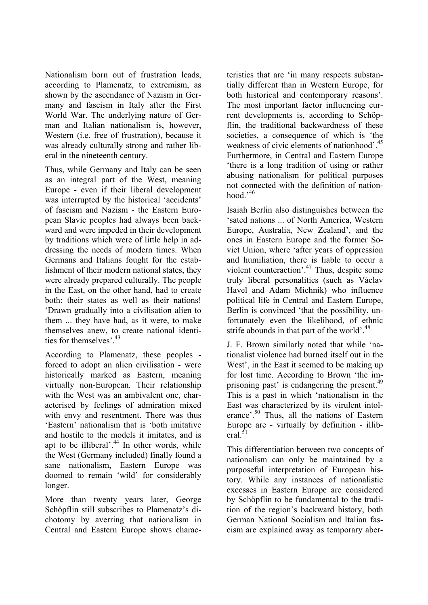Nationalism born out of frustration leads, according to Plamenatz, to extremism, as shown by the ascendance of Nazism in Germany and fascism in Italy after the First World War. The underlying nature of German and Italian nationalism is, however, Western (i.e. free of frustration), because it was already culturally strong and rather liberal in the nineteenth century.

Thus, while Germany and Italy can be seen as an integral part of the West, meaning Europe - even if their liberal development was interrupted by the historical 'accidents' of fascism and Nazism - the Eastern European Slavic peoples had always been backward and were impeded in their development by traditions which were of little help in addressing the needs of modern times. When Germans and Italians fought for the establishment of their modern national states, they were already prepared culturally. The people in the East, on the other hand, had to create both: their states as well as their nations! 'Drawn gradually into a civilisation alien to them ... they have had, as it were, to make themselves anew, to create national identities for themselves'  $43$ 

According to Plamenatz, these peoples forced to adopt an alien civilisation - were historically marked as Eastern, meaning virtually non-European. Their relationship with the West was an ambivalent one, characterised by feelings of admiration mixed with envy and resentment. There was thus 'Eastern' nationalism that is 'both imitative and hostile to the models it imitates, and is apt to be illiberal'.<sup>44</sup> In other words, while the West (Germany included) finally found a sane nationalism, Eastern Europe was doomed to remain 'wild' for considerably longer.

More than twenty years later, George Schöpflin still subscribes to Plamenatz's dichotomy by averring that nationalism in Central and Eastern Europe shows characteristics that are 'in many respects substantially different than in Western Europe, for both historical and contemporary reasons'. The most important factor influencing current developments is, according to Schöpflin, the traditional backwardness of these societies, a consequence of which is 'the weakness of civic elements of nationhood'.<sup>45</sup> Furthermore, in Central and Eastern Europe 'there is a long tradition of using or rather abusing nationalism for political purposes not connected with the definition of nationhood  $,46$ 

Isaiah Berlin also distinguishes between the 'sated nations ... of North America, Western Europe, Australia, New Zealand', and the ones in Eastern Europe and the former Soviet Union, where 'after years of oppression and humiliation, there is liable to occur a violent counteraction'.47 Thus, despite some truly liberal personalities (such as Václav Havel and Adam Michnik) who influence political life in Central and Eastern Europe, Berlin is convinced 'that the possibility, unfortunately even the likelihood, of ethnic strife abounds in that part of the world'.<sup>48</sup>

J. F. Brown similarly noted that while 'nationalist violence had burned itself out in the West', in the East it seemed to be making up for lost time. According to Brown 'the imprisoning past' is endangering the present.<sup>49</sup> This is a past in which 'nationalism in the East was characterized by its virulent intolerance'.<sup>50</sup> Thus, all the nations of Eastern Europe are - virtually by definition - illiberal. $51$ 

This differentiation between two concepts of nationalism can only be maintained by a purposeful interpretation of European history. While any instances of nationalistic excesses in Eastern Europe are considered by Schöpflin to be fundamental to the tradition of the region's backward history, both German National Socialism and Italian fascism are explained away as temporary aber-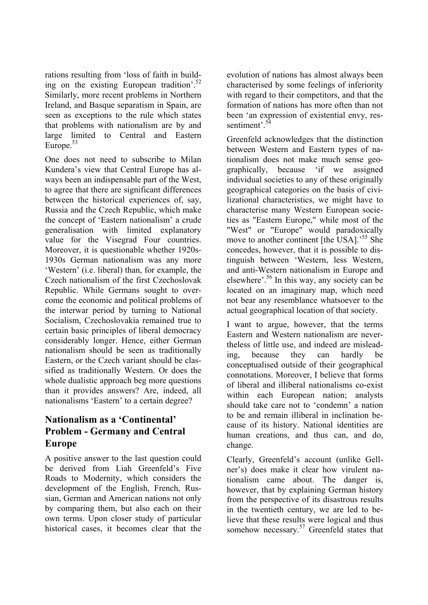rations resulting from 'loss of faith in building on the existing European tradition'.52 Similarly, more recent problems in Northern Ireland, and Basque separatism in Spain, are seen as exceptions to the rule which states that problems with nationalism are by and large limited to Central and Eastern Europe. $53$ 

One does not need to subscribe to Milan Kundera's view that Central Europe has always been an indispensable part of the West, to agree that there are significant differences between the historical experiences of, say, Russia and the Czech Republic, which make the concept of 'Eastern nationalism' a crude generalisation with limited explanatory value for the Visegrad Four countries. Moreover, it is questionable whether 1920s-1930s German nationalism was any more 'Western' (i.e. liberal) than, for example, the Czech nationalism of the first Czechoslovak Republic. While Germans sought to overcome the economic and political problems of the interwar period by turning to National Socialism, Czechoslovakia remained true to certain basic principles of liberal democracy considerably longer. Hence, either German nationalism should be seen as traditionally Eastern, or the Czech variant should be classified as traditionally Western. Or does the whole dualistic approach beg more questions than it provides answers? Are, indeed, all nationalisms 'Eastern' to a certain degree?

### **Nationalism as a 'Continental' Problem - Germany and Central Europe**

A positive answer to the last question could be derived from Liah Greenfeld's Five Roads to Modernity, which considers the development of the English, French, Russian, German and American nations not only by comparing them, but also each on their own terms. Upon closer study of particular historical cases, it becomes clear that the

evolution of nations has almost always been characterised by some feelings of inferiority with regard to their competitors, and that the formation of nations has more often than not been 'an expression of existential envy, ressentiment<sup>'54</sup>

Greenfeld acknowledges that the distinction between Western and Eastern types of nationalism does not make much sense geographically, because 'if we assigned individual societies to any of these originally geographical categories on the basis of civilizational characteristics, we might have to characterise many Western European societies as "Eastern Europe," while most of the "West" or "Europe" would paradoxically move to another continent [the USA].<sup>55</sup> She concedes, however, that it is possible to distinguish between 'Western, less Western, and anti-Western nationalism in Europe and elsewhere'.56 In this way, any society can be located on an imaginary map, which need not bear any resemblance whatsoever to the actual geographical location of that society.

I want to argue, however, that the terms Eastern and Western nationalism are nevertheless of little use, and indeed are misleading, because they can hardly be conceptualised outside of their geographical connotations. Moreover, I believe that forms of liberal and illiberal nationalisms co-exist within each European nation; analysts should take care not to 'condemn' a nation to be and remain illiberal in inclination because of its history. National identities are human creations, and thus can, and do, change.

Clearly, Greenfeld's account (unlike Gellner's) does make it clear how virulent nationalism came about. The danger is, however, that by explaining German history from the perspective of its disastrous results in the twentieth century, we are led to believe that these results were logical and thus somehow necessary. $57$  Greenfeld states that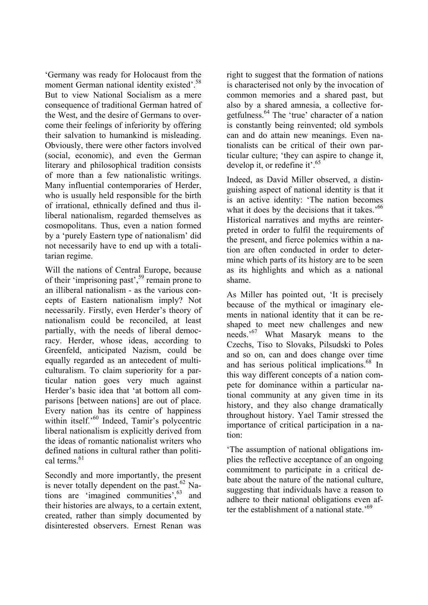'Germany was ready for Holocaust from the moment German national identity existed'.<sup>58</sup> But to view National Socialism as a mere consequence of traditional German hatred of the West, and the desire of Germans to overcome their feelings of inferiority by offering their salvation to humankind is misleading. Obviously, there were other factors involved (social, economic), and even the German literary and philosophical tradition consists of more than a few nationalistic writings. Many influential contemporaries of Herder, who is usually held responsible for the birth of irrational, ethnically defined and thus illiberal nationalism, regarded themselves as cosmopolitans. Thus, even a nation formed by a 'purely Eastern type of nationalism' did not necessarily have to end up with a totalitarian regime.

Will the nations of Central Europe, because of their 'imprisoning past',59 remain prone to an illiberal nationalism - as the various concepts of Eastern nationalism imply? Not necessarily. Firstly, even Herder's theory of nationalism could be reconciled, at least partially, with the needs of liberal democracy. Herder, whose ideas, according to Greenfeld, anticipated Nazism, could be equally regarded as an antecedent of multiculturalism. To claim superiority for a particular nation goes very much against Herder's basic idea that 'at bottom all comparisons [between nations] are out of place. Every nation has its centre of happiness within itself.<sup>'60</sup> Indeed, Tamir's polycentric liberal nationalism is explicitly derived from the ideas of romantic nationalist writers who defined nations in cultural rather than political terms<sup>61</sup>

Secondly and more importantly, the present is never totally dependent on the past.<sup>62</sup> Nations are 'imagined communities',<sup>63</sup> and their histories are always, to a certain extent, created, rather than simply documented by disinterested observers. Ernest Renan was

right to suggest that the formation of nations is characterised not only by the invocation of common memories and a shared past, but also by a shared amnesia, a collective forgetfulness.64 The 'true' character of a nation is constantly being reinvented; old symbols can and do attain new meanings. Even nationalists can be critical of their own particular culture; 'they can aspire to change it, develop it, or redefine it'.<sup>65</sup>

Indeed, as David Miller observed, a distinguishing aspect of national identity is that it is an active identity: 'The nation becomes what it does by the decisions that it takes.<sup>566</sup> Historical narratives and myths are reinterpreted in order to fulfil the requirements of the present, and fierce polemics within a nation are often conducted in order to determine which parts of its history are to be seen as its highlights and which as a national shame.

As Miller has pointed out, 'It is precisely because of the mythical or imaginary elements in national identity that it can be reshaped to meet new challenges and new needs.'67 What Masaryk means to the Czechs, Tiso to Slovaks, Pilsudski to Poles and so on, can and does change over time and has serious political implications.<sup>68</sup> In this way different concepts of a nation compete for dominance within a particular national community at any given time in its history, and they also change dramatically throughout history. Yael Tamir stressed the importance of critical participation in a nation:

'The assumption of national obligations implies the reflective acceptance of an ongoing commitment to participate in a critical debate about the nature of the national culture, suggesting that individuals have a reason to adhere to their national obligations even after the establishment of a national state.<sup>59</sup>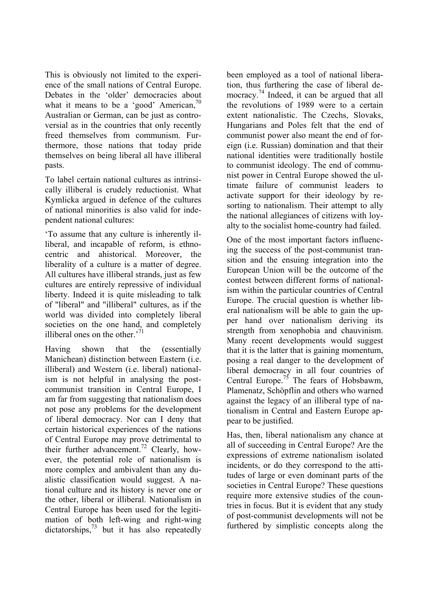This is obviously not limited to the experience of the small nations of Central Europe. Debates in the 'older' democracies about what it means to be a 'good' American, $70$ Australian or German, can be just as controversial as in the countries that only recently freed themselves from communism. Furthermore, those nations that today pride themselves on being liberal all have illiberal pasts.

To label certain national cultures as intrinsically illiberal is crudely reductionist. What Kymlicka argued in defence of the cultures of national minorities is also valid for independent national cultures:

'To assume that any culture is inherently illiberal, and incapable of reform, is ethnocentric and ahistorical. Moreover, the liberality of a culture is a matter of degree. All cultures have illiberal strands, just as few cultures are entirely repressive of individual liberty. Indeed it is quite misleading to talk of "liberal" and "illiberal" cultures, as if the world was divided into completely liberal societies on the one hand, and completely illiberal ones on the other.<sup>71</sup>

Having shown that the (essentially Manichean) distinction between Eastern (i.e. illiberal) and Western (i.e. liberal) nationalism is not helpful in analysing the postcommunist transition in Central Europe, I am far from suggesting that nationalism does not pose any problems for the development of liberal democracy. Nor can I deny that certain historical experiences of the nations of Central Europe may prove detrimental to their further advancement.<sup>72</sup> Clearly, however, the potential role of nationalism is more complex and ambivalent than any dualistic classification would suggest. A national culture and its history is never one or the other, liberal or illiberal. Nationalism in Central Europe has been used for the legitimation of both left-wing and right-wing  $\frac{1}{2}$  dictatorships,  $\frac{73}{2}$  but it has also repeatedly

been employed as a tool of national liberation, thus furthering the case of liberal democracy.<sup>74</sup> Indeed, it can be argued that all the revolutions of 1989 were to a certain extent nationalistic. The Czechs, Slovaks, Hungarians and Poles felt that the end of communist power also meant the end of foreign (i.e. Russian) domination and that their national identities were traditionally hostile to communist ideology. The end of communist power in Central Europe showed the ultimate failure of communist leaders to activate support for their ideology by resorting to nationalism. Their attempt to ally the national allegiances of citizens with loyalty to the socialist home-country had failed.

One of the most important factors influencing the success of the post-communist transition and the ensuing integration into the European Union will be the outcome of the contest between different forms of nationalism within the particular countries of Central Europe. The crucial question is whether liberal nationalism will be able to gain the upper hand over nationalism deriving its strength from xenophobia and chauvinism. Many recent developments would suggest that it is the latter that is gaining momentum, posing a real danger to the development of liberal democracy in all four countries of Central Europe.<sup>75</sup> The fears of Hobsbawm, Plamenatz, Schöpflin and others who warned against the legacy of an illiberal type of nationalism in Central and Eastern Europe appear to be justified.

Has, then, liberal nationalism any chance at all of succeeding in Central Europe? Are the expressions of extreme nationalism isolated incidents, or do they correspond to the attitudes of large or even dominant parts of the societies in Central Europe? These questions require more extensive studies of the countries in focus. But it is evident that any study of post-communist developments will not be furthered by simplistic concepts along the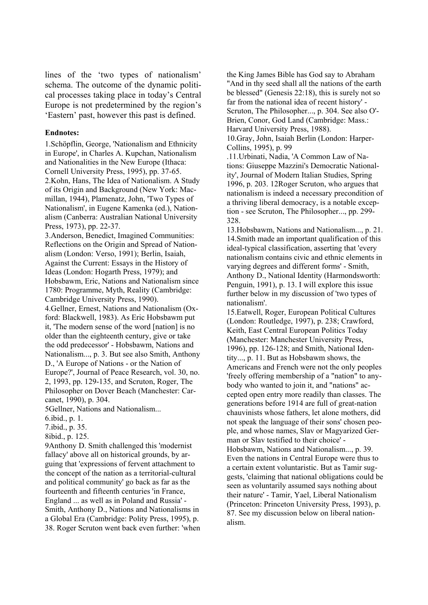lines of the 'two types of nationalism' schema. The outcome of the dynamic political processes taking place in today's Central Europe is not predetermined by the region's 'Eastern' past, however this past is defined.

#### **Endnotes:**

1.Schöpflin, George, 'Nationalism and Ethnicity in Europe', in Charles A. Kupchan, Nationalism and Nationalities in the New Europe (Ithaca: Cornell University Press, 1995), pp. 37-65. 2.Kohn, Hans, The Idea of Nationalism. A Study of its Origin and Background (New York: Macmillan, 1944), Plamenatz, John, 'Two Types of Nationalism', in Eugene Kamenka (ed.), Nationalism (Canberra: Australian National University Press, 1973), pp. 22-37.

3.Anderson, Benedict, Imagined Communities: Reflections on the Origin and Spread of Nationalism (London: Verso, 1991); Berlin, Isaiah, Against the Current: Essays in the History of Ideas (London: Hogarth Press, 1979); and Hobsbawm, Eric, Nations and Nationalism since 1780: Programme, Myth, Reality (Cambridge: Cambridge University Press, 1990).

4.Gellner, Ernest, Nations and Nationalism (Oxford: Blackwell, 1983). As Eric Hobsbawm put it, 'The modern sense of the word [nation] is no older than the eighteenth century, give or take the odd predecessor' - Hobsbawm, Nations and Nationalism..., p. 3. But see also Smith, Anthony D., 'A Europe of Nations - or the Nation of Europe?', Journal of Peace Research, vol. 30, no. 2, 1993, pp. 129-135, and Scruton, Roger, The Philosopher on Dover Beach (Manchester: Carcanet, 1990), p. 304.

5Gellner, Nations and Nationalism...

6.ibid., p. 1.

7.ibid., p. 35.

8ibid., p. 125.

9Anthony D. Smith challenged this 'modernist fallacy' above all on historical grounds, by arguing that 'expressions of fervent attachment to the concept of the nation as a territorial-cultural and political community' go back as far as the fourteenth and fifteenth centuries 'in France, England ... as well as in Poland and Russia' - Smith, Anthony D., Nations and Nationalisms in a Global Era (Cambridge: Polity Press, 1995), p. 38. Roger Scruton went back even further: 'when the King James Bible has God say to Abraham "And in thy seed shall all the nations of the earth be blessed" (Genesis 22:18), this is surely not so far from the national idea of recent history' - Scruton, The Philosopher..., p. 304. See also O'- Brien, Conor, God Land (Cambridge: Mass.: Harvard University Press, 1988).

10.Gray, John, Isaiah Berlin (London: Harper-Collins, 1995), p. 99

.11.Urbinati, Nadia, 'A Common Law of Nations: Giuseppe Mazzini's Democratic Nationality', Journal of Modern Italian Studies, Spring 1996, p. 203. 12Roger Scruton, who argues that nationalism is indeed a necessary precondition of a thriving liberal democracy, is a notable exception - see Scruton, The Philosopher..., pp. 299- 328.

13.Hobsbawm, Nations and Nationalism..., p. 21. 14.Smith made an important qualification of this ideal-typical classification, asserting that 'every nationalism contains civic and ethnic elements in varying degrees and different forms' - Smith, Anthony D., National Identity (Harmondsworth: Penguin, 1991), p. 13. I will explore this issue further below in my discussion of 'two types of nationalism'.

15.Eatwell, Roger, European Political Cultures (London: Routledge, 1997), p. 238; Crawford, Keith, East Central European Politics Today (Manchester: Manchester University Press, 1996), pp. 126-128; and Smith, National Identity..., p. 11. But as Hobsbawm shows, the Americans and French were not the only peoples 'freely offering membership of a "nation" to anybody who wanted to join it, and "nations" accepted open entry more readily than classes. The generations before 1914 are full of great-nation chauvinists whose fathers, let alone mothers, did not speak the language of their sons' chosen people, and whose names, Slav or Magyarized German or Slav testified to their choice' - Hobsbawm, Nations and Nationalism..., p. 39. Even the nations in Central Europe were thus to a certain extent voluntaristic. But as Tamir suggests, 'claiming that national obligations could be seen as voluntarily assumed says nothing about their nature' - Tamir, Yael, Liberal Nationalism (Princeton: Princeton University Press, 1993), p. 87. See my discussion below on liberal nationalism.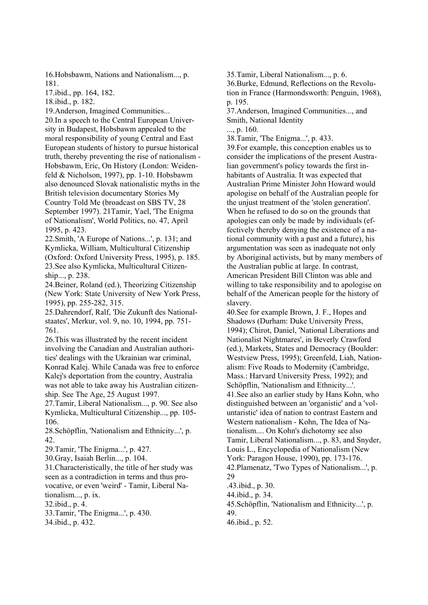16.Hobsbawm, Nations and Nationalism..., p. 181.

17.ibid., pp. 164, 182.

18.ibid., p. 182.

19.Anderson, Imagined Communities... 20.In a speech to the Central European University in Budapest, Hobsbawm appealed to the moral responsibility of young Central and East European students of history to pursue historical truth, thereby preventing the rise of nationalism - Hobsbawm, Eric, On History (London: Weidenfeld & Nicholson, 1997), pp. 1-10. Hobsbawm also denounced Slovak nationalistic myths in the British television documentary Stories My Country Told Me (broadcast on SBS TV, 28 September 1997). 21Tamir, Yael, 'The Enigma of Nationalism', World Politics, no. 47, April 1995, p. 423.

22.Smith, 'A Europe of Nations...', p. 131; and Kymlicka, William, Multicultural Citizenship (Oxford: Oxford University Press, 1995), p. 185. 23.See also Kymlicka, Multicultural Citizenship..., p. 238.

24.Beiner, Roland (ed.), Theorizing Citizenship (New York: State University of New York Press, 1995), pp. 255-282, 315.

25.Dahrendorf, Ralf, 'Die Zukunft des Nationalstaates', Merkur, vol. 9, no. 10, 1994, pp. 751- 761.

26.This was illustrated by the recent incident involving the Canadian and Australian authorities' dealings with the Ukrainian war criminal, Konrad Kalej. While Canada was free to enforce Kalej's deportation from the country, Australia was not able to take away his Australian citizenship. See The Age, 25 August 1997.

27.Tamir, Liberal Nationalism..., p. 90. See also Kymlicka, Multicultural Citizenship..., pp. 105- 106.

28.Schöpflin, 'Nationalism and Ethnicity...', p. 42.

29.Tamir, 'The Enigma...', p. 427.

30.Gray, Isaiah Berlin..., p. 104.

31.Characteristically, the title of her study was seen as a contradiction in terms and thus provocative, or even 'weird' - Tamir, Liberal Nationalism..., p. ix.

32.ibid., p. 4.

33.Tamir, 'The Enigma...', p. 430.

34.ibid., p. 432.

35.Tamir, Liberal Nationalism..., p. 6.

36.Burke, Edmund, Reflections on the Revolution in France (Harmondsworth: Penguin, 1968), p. 195.

37.Anderson, Imagined Communities..., and Smith, National Identity

..., p. 160.

38.Tamir, 'The Enigma...', p. 433.

39.For example, this conception enables us to consider the implications of the present Australian government's policy towards the first inhabitants of Australia. It was expected that Australian Prime Minister John Howard would apologise on behalf of the Australian people for the unjust treatment of the 'stolen generation'. When he refused to do so on the grounds that apologies can only be made by individuals (effectively thereby denying the existence of a national community with a past and a future), his argumentation was seen as inadequate not only by Aboriginal activists, but by many members of the Australian public at large. In contrast, American President Bill Clinton was able and willing to take responsibility and to apologise on behalf of the American people for the history of slavery.

40.See for example Brown, J. F., Hopes and Shadows (Durham: Duke University Press, 1994); Chirot, Daniel, 'National Liberations and Nationalist Nightmares', in Beverly Crawford (ed.), Markets, States and Democracy (Boulder: Westview Press, 1995); Greenfeld, Liah, Nationalism: Five Roads to Modernity (Cambridge, Mass.: Harvard University Press, 1992); and Schöpflin, 'Nationalism and Ethnicity...'. 41.See also an earlier study by Hans Kohn, who distinguished between an 'organistic' and a 'voluntaristic' idea of nation to contrast Eastern and Western nationalism - Kohn, The Idea of Nationalism.... On Kohn's dichotomy see also Tamir, Liberal Nationalism..., p. 83, and Snyder, Louis L., Encyclopedia of Nationalism (New York: Paragon House, 1990), pp. 173-176. 42.Plamenatz, 'Two Types of Nationalism...', p. 29 .43.ibid., p. 30. 44.ibid., p. 34.

45.Schöpflin, 'Nationalism and Ethnicity...', p. 49.

46.ibid., p. 52.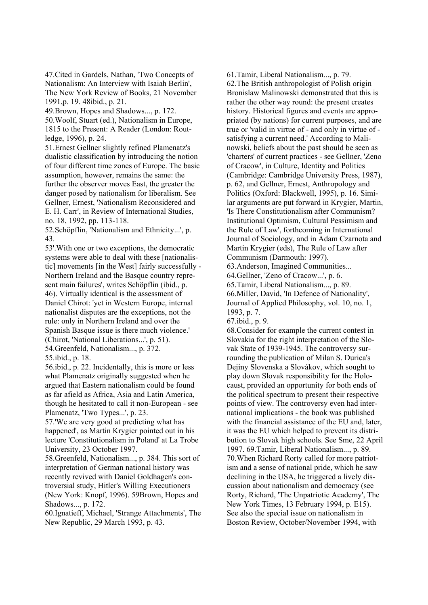47.Cited in Gardels, Nathan, 'Two Concepts of Nationalism: An Interview with Isaiah Berlin', The New York Review of Books, 21 November 1991,p. 19. 48ibid., p. 21.

49.Brown, Hopes and Shadows..., p. 172.

50.Woolf, Stuart (ed.), Nationalism in Europe, 1815 to the Present: A Reader (London: Routledge, 1996), p. 24.

51.Ernest Gellner slightly refined Plamenatz's dualistic classification by introducing the notion of four different time zones of Europe. The basic assumption, however, remains the same: the further the observer moves East, the greater the danger posed by nationalism for liberalism. See Gellner, Ernest, 'Nationalism Reconsidered and E. H. Carr', in Review of International Studies, no. 18, 1992, pp. 113-118.

52.Schöpflin, 'Nationalism and Ethnicity...', p. 43.

53'.With one or two exceptions, the democratic systems were able to deal with these [nationalistic] movements [in the West] fairly successfully - Northern Ireland and the Basque country represent main failures', writes Schöpflin (ibid., p. 46). Virtually identical is the assessment of Daniel Chirot: 'yet in Western Europe, internal nationalist disputes are the exceptions, not the rule: only in Northern Ireland and over the Spanish Basque issue is there much violence.' (Chirot, 'National Liberations...', p. 51). 54.Greenfeld, Nationalism..., p. 372.

55.ibid., p. 18.

56.ibid., p. 22. Incidentally, this is more or less what Plamenatz originally suggested when he argued that Eastern nationalism could be found as far afield as Africa, Asia and Latin America, though he hesitated to call it non-European - see Plamenatz, 'Two Types...', p. 23.

57.'We are very good at predicting what has happened', as Martin Krygier pointed out in his lecture 'Constitutionalism in Poland' at La Trobe University, 23 October 1997.

58.Greenfeld, Nationalism..., p. 384. This sort of interpretation of German national history was recently revived with Daniel Goldhagen's controversial study, Hitler's Willing Executioners (New York: Knopf, 1996). 59Brown, Hopes and Shadows..., p. 172.

60.Ignatieff, Michael, 'Strange Attachments', The New Republic, 29 March 1993, p. 43.

61.Tamir, Liberal Nationalism..., p. 79.

62.The British anthropologist of Polish origin Bronislaw Malinowski demonstrated that this is rather the other way round: the present creates history. Historical figures and events are appropriated (by nations) for current purposes, and are true or 'valid in virtue of - and only in virtue of satisfying a current need.' According to Malinowski, beliefs about the past should be seen as 'charters' of current practices - see Gellner, 'Zeno of Cracow', in Culture, Identity and Politics (Cambridge: Cambridge University Press, 1987), p. 62, and Gellner, Ernest, Anthropology and Politics (Oxford: Blackwell, 1995), p. 16. Similar arguments are put forward in Krygier, Martin, 'Is There Constitutionalism after Communism? Institutional Optimism, Cultural Pessimism and the Rule of Law', forthcoming in International Journal of Sociology, and in Adam Czarnota and Martin Krygier (eds), The Rule of Law after Communism (Darmouth: 1997).

63.Anderson, Imagined Communities...

64.Gellner, 'Zeno of Cracow...', p. 6.

65.Tamir, Liberal Nationalism..., p. 89. 66.Miller, David, 'In Defence of Nationality', Journal of Applied Philosophy, vol. 10, no. 1, 1993, p. 7.

67.ibid., p. 9.

68.Consider for example the current contest in Slovakia for the right interpretation of the Slovak State of 1939-1945. The controversy surrounding the publication of Milan S. Durica's Dejiny Slovenska a Slovákov, which sought to play down Slovak responsibility for the Holocaust, provided an opportunity for both ends of the political spectrum to present their respective points of view. The controversy even had international implications - the book was published with the financial assistance of the EU and, later, it was the EU which helped to prevent its distribution to Slovak high schools. See Sme, 22 April 1997. 69.Tamir, Liberal Nationalism..., p. 89. 70.When Richard Rorty called for more patriotism and a sense of national pride, which he saw declining in the USA, he triggered a lively discussion about nationalism and democracy (see Rorty, Richard, 'The Unpatriotic Academy', The New York Times, 13 February 1994, p. E15). See also the special issue on nationalism in Boston Review, October/November 1994, with